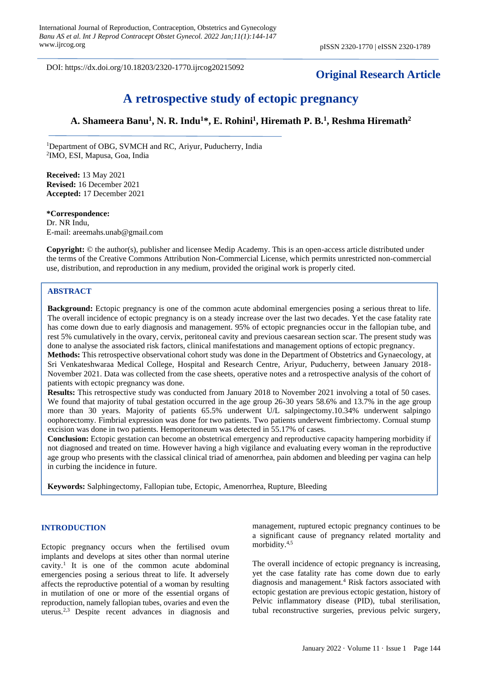DOI: https://dx.doi.org/10.18203/2320-1770.ijrcog20215092

# **Original Research Article**

# **A retrospective study of ectopic pregnancy**

# **A. Shameera Banu<sup>1</sup> , N. R. Indu<sup>1</sup>\*, E. Rohini<sup>1</sup> , Hiremath P. B.<sup>1</sup> , Reshma Hiremath<sup>2</sup>**

<sup>1</sup>Department of OBG, SVMCH and RC, Ariyur, Puducherry, India 2 IMO, ESI, Mapusa, Goa, India

**Received:** 13 May 2021 **Revised:** 16 December 2021 **Accepted:** 17 December 2021

#### **\*Correspondence:**

Dr. NR Indu, E-mail: areemahs.unab@gmail.com

**Copyright:** © the author(s), publisher and licensee Medip Academy. This is an open-access article distributed under the terms of the Creative Commons Attribution Non-Commercial License, which permits unrestricted non-commercial use, distribution, and reproduction in any medium, provided the original work is properly cited.

# **ABSTRACT**

**Background:** Ectopic pregnancy is one of the common acute abdominal emergencies posing a serious threat to life. The overall incidence of ectopic pregnancy is on a steady increase over the last two decades. Yet the case fatality rate has come down due to early diagnosis and management. 95% of ectopic pregnancies occur in the fallopian tube, and rest 5% cumulatively in the ovary, cervix, peritoneal cavity and previous caesarean section scar. The present study was done to analyse the associated risk factors, clinical manifestations and management options of ectopic pregnancy.

**Methods:** This retrospective observational cohort study was done in the Department of Obstetrics and Gynaecology, at Sri Venkateshwaraa Medical College, Hospital and Research Centre, Ariyur, Puducherry, between January 2018- November 2021. Data was collected from the case sheets, operative notes and a retrospective analysis of the cohort of patients with ectopic pregnancy was done.

**Results:** This retrospective study was conducted from January 2018 to November 2021 involving a total of 50 cases. We found that majority of tubal gestation occurred in the age group 26-30 years 58.6% and 13.7% in the age group more than 30 years. Majority of patients 65.5% underwent U/L salpingectomy.10.34% underwent salpingo oophorectomy. Fimbrial expression was done for two patients. Two patients underwent fimbriectomy. Cornual stump excision was done in two patients. Hemoperitoneum was detected in 55.17% of cases.

**Conclusion:** Ectopic gestation can become an obstetrical emergency and reproductive capacity hampering morbidity if not diagnosed and treated on time. However having a high vigilance and evaluating every woman in the reproductive age group who presents with the classical clinical triad of amenorrhea, pain abdomen and bleeding per vagina can help in curbing the incidence in future.

**Keywords:** Salphingectomy, Fallopian tube, Ectopic, Amenorrhea, Rupture, Bleeding

# **INTRODUCTION**

Ectopic pregnancy occurs when the fertilised ovum implants and develops at sites other than normal uterine cavity.<sup>1</sup> It is one of the common acute abdominal emergencies posing a serious threat to life. It adversely affects the reproductive potential of a woman by resulting in mutilation of one or more of the essential organs of reproduction, namely fallopian tubes, ovaries and even the uterus.2,3 Despite recent advances in diagnosis and management, ruptured ectopic pregnancy continues to be a significant cause of pregnancy related mortality and morbidity. 4,5

The overall incidence of ectopic pregnancy is increasing, yet the case fatality rate has come down due to early diagnosis and management.<sup>4</sup> Risk factors associated with ectopic gestation are previous ectopic gestation, history of Pelvic inflammatory disease (PID), tubal sterilisation, tubal reconstructive surgeries, previous pelvic surgery,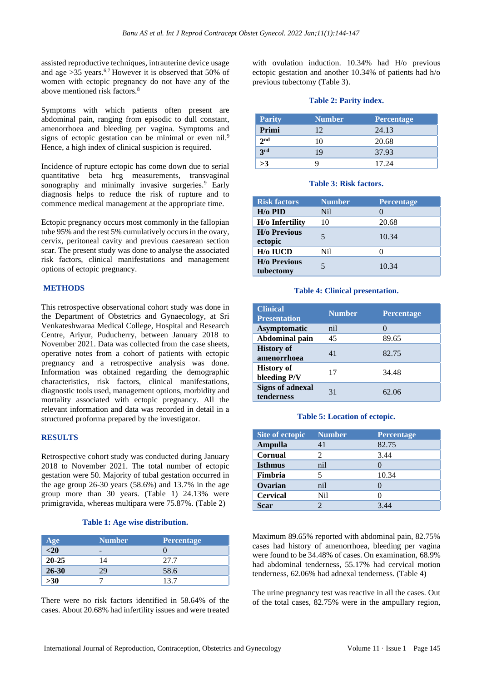assisted reproductive techniques, intrauterine device usage and age  $>35$  years.<sup>6,7</sup> However it is observed that 50% of women with ectopic pregnancy do not have any of the above mentioned risk factors.<sup>8</sup>

Symptoms with which patients often present are abdominal pain, ranging from episodic to dull constant, amenorrhoea and bleeding per vagina. Symptoms and signs of ectopic gestation can be minimal or even nil.<sup>9</sup> Hence, a high index of clinical suspicion is required.

Incidence of rupture ectopic has come down due to serial quantitative beta hcg measurements, transvaginal sonography and minimally invasive surgeries.<sup>9</sup> Early diagnosis helps to reduce the risk of rupture and to commence medical management at the appropriate time.

Ectopic pregnancy occurs most commonly in the fallopian tube 95% and the rest 5% cumulatively occurs in the ovary, cervix, peritoneal cavity and previous caesarean section scar. The present study was done to analyse the associated risk factors, clinical manifestations and management options of ectopic pregnancy.

# **METHODS**

This retrospective observational cohort study was done in the Department of Obstetrics and Gynaecology, at Sri Venkateshwaraa Medical College, Hospital and Research Centre, Ariyur, Puducherry, between January 2018 to November 2021. Data was collected from the case sheets, operative notes from a cohort of patients with ectopic pregnancy and a retrospective analysis was done. Information was obtained regarding the demographic characteristics, risk factors, clinical manifestations, diagnostic tools used, management options, morbidity and mortality associated with ectopic pregnancy. All the relevant information and data was recorded in detail in a structured proforma prepared by the investigator.

# **RESULTS**

Retrospective cohort study was conducted during January 2018 to November 2021. The total number of ectopic gestation were 50. Majority of tubal gestation occurred in the age group 26-30 years (58.6%) and 13.7% in the age group more than 30 years. (Table 1) 24.13% were primigravida, whereas multipara were 75.87%. (Table 2)

#### **Table 1: Age wise distribution.**

| Age             | <b>Number</b> | <b>Percentage</b> |
|-----------------|---------------|-------------------|
| $\overline{20}$ |               |                   |
| $20 - 25$       | 14            | 27.7              |
| $26 - 30$       | 70            | 58.6              |
| $>30$           |               | .37               |

There were no risk factors identified in 58.64% of the cases. About 20.68% had infertility issues and were treated with ovulation induction. 10.34% had H/o previous ectopic gestation and another 10.34% of patients had h/o previous tubectomy (Table 3).

# **Table 2: Parity index.**

| <b>Parity</b>   | <b>Number</b> | <b>Percentage</b> |
|-----------------|---------------|-------------------|
| Primi           | 12.           | 24.13             |
| 2 <sub>nd</sub> | 10            | 20.68             |
| 3rd             | 19            | 37.93             |
| >3              |               | 17 24             |

#### **Table 3: Risk factors.**

| <b>Risk factors</b>               | <b>Number</b> | <b>Percentage</b> |
|-----------------------------------|---------------|-------------------|
| $H$ / $\alpha$ PID                | Ni1           |                   |
| H/o Infertility                   | 10            | 20.68             |
| <b>H</b> /o Previous<br>ectopic   | 5             | 10.34             |
| H/o IUCD                          | Ni1           |                   |
| <b>H</b> /o Previous<br>tubectomy |               | 10.34             |

#### **Table 4: Clinical presentation.**

| <b>Clinical</b><br><b>Presentation</b> | <b>Number</b> | <b>Percentage</b> |
|----------------------------------------|---------------|-------------------|
| Asymptomatic                           | nil           | $\mathbf{\Omega}$ |
| Abdominal pain                         | 45            | 89.65             |
| <b>History of</b><br>amenorrhoea       | 41            | 82.75             |
| <b>History of</b><br>bleeding P/V      | 17            | 34.48             |
| <b>Signs of adnexal</b><br>tenderness  | 31            | 62.06             |

# **Table 5: Location of ectopic.**

| Site of ectopic | <b>Number</b> | <b>Percentage</b> |
|-----------------|---------------|-------------------|
| Ampulla         | 41            | 82.75             |
| Cornual         |               | 3.44              |
| <b>Isthmus</b>  | nil           |                   |
| Fimbria         |               | 10.34             |
| Ovarian         | nil           |                   |
| <b>Cervical</b> | Nil           |                   |
| Scar            |               |                   |

Maximum 89.65% reported with abdominal pain, 82.75% cases had history of amenorrhoea, bleeding per vagina were found to be 34.48% of cases. On examination, 68.9% had abdominal tenderness, 55.17% had cervical motion tenderness, 62.06% had adnexal tenderness. (Table 4)

The urine pregnancy test was reactive in all the cases. Out of the total cases, 82.75% were in the ampullary region,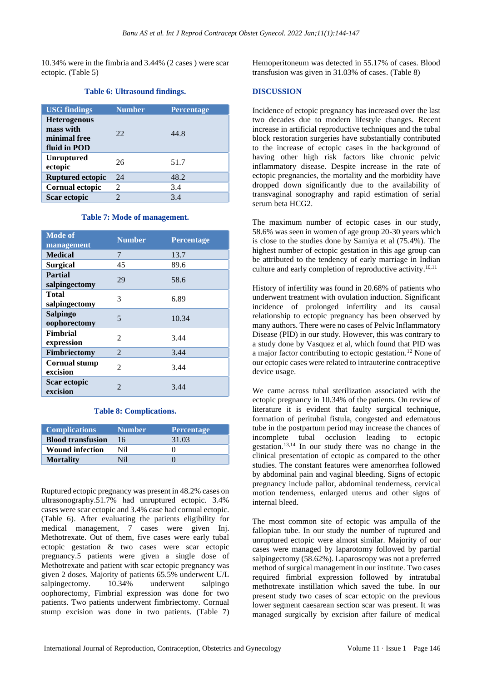10.34% were in the fimbria and 3.44% (2 cases ) were scar ectopic. (Table 5)

# **Table 6: Ultrasound findings.**

| <b>USG</b> findings                                              | <b>Number</b> | <b>Percentage</b> |
|------------------------------------------------------------------|---------------|-------------------|
| <b>Heterogenous</b><br>mass with<br>minimal free<br>fluid in POD | 22            | 44.8              |
| <b>Unruptured</b><br>ectopic                                     | 26            | 51.7              |
| <b>Ruptured ectopic</b>                                          | 24            | 48.2              |
| <b>Cornual ectopic</b>                                           | 2             | 3.4               |
| Scar ectopic                                                     | 2             | 3.4               |

#### **Table 7: Mode of management.**

| <b>Mode of</b><br>management     | <b>Number</b>  | <b>Percentage</b> |
|----------------------------------|----------------|-------------------|
| <b>Medical</b>                   | 7              | 13.7              |
| <b>Surgical</b>                  | 45             | 89.6              |
| Partial<br>salpingectomy         | 29             | 58.6              |
| Total<br>salpingectomy           | 3              | 6.89              |
| Salpingo<br>oophorectomy         | 5              | 10.34             |
| Fimbrial<br>expression           | $\mathfrak{D}$ | 3.44              |
| <b>Fimbriectomy</b>              | 2              | 3.44              |
| <b>Cornual stump</b><br>excision | $\mathfrak{D}$ | 3.44              |
| Scar ectopic<br>excision         | $\mathfrak{D}$ | 3.44              |

#### **Table 8: Complications.**

| <b>Complications</b>     | <b>Number</b> | <b>Percentage</b> |
|--------------------------|---------------|-------------------|
| <b>Blood transfusion</b> | 16            | 31.03             |
| <b>Wound infection</b>   | Nil           |                   |
| <b>Mortality</b>         | Ni1           |                   |

Ruptured ectopic pregnancy was present in 48.2% cases on ultrasonography.51.7% had unruptured ectopic. 3.4% cases were scar ectopic and 3.4% case had cornual ectopic. (Table 6). After evaluating the patients eligibility for medical management, 7 cases were given Inj. Methotrexate. Out of them, five cases were early tubal ectopic gestation & two cases were scar ectopic pregnancy.5 patients were given a single dose of Methotrexate and patient with scar ectopic pregnancy was given 2 doses. Majority of patients 65.5% underwent U/L<br>salpingectomy. 10.34% underwent salpingo salpingectomy. 10.34% underwent salpingo oophorectomy, Fimbrial expression was done for two patients. Two patients underwent fimbriectomy. Cornual stump excision was done in two patients. (Table 7) Hemoperitoneum was detected in 55.17% of cases. Blood transfusion was given in 31.03% of cases. (Table 8)

#### **DISCUSSION**

Incidence of ectopic pregnancy has increased over the last two decades due to modern lifestyle changes. Recent increase in artificial reproductive techniques and the tubal block restoration surgeries have substantially contributed to the increase of ectopic cases in the background of having other high risk factors like chronic pelvic inflammatory disease. Despite increase in the rate of ectopic pregnancies, the mortality and the morbidity have dropped down significantly due to the availability of transvaginal sonography and rapid estimation of serial serum beta HCG2.

The maximum number of ectopic cases in our study, 58.6% was seen in women of age group 20-30 years which is close to the studies done by Samiya et al (75.4%). The highest number of ectopic gestation in this age group can be attributed to the tendency of early marriage in Indian culture and early completion of reproductive activity.<sup>10,11</sup>

History of infertility was found in 20.68% of patients who underwent treatment with ovulation induction. Significant incidence of prolonged infertility and its causal relationship to ectopic pregnancy has been observed by many authors. There were no cases of Pelvic Inflammatory Disease (PID) in our study. However, this was contrary to a study done by Vasquez et al, which found that PID was a major factor contributing to ectopic gestation.<sup>12</sup> None of our ectopic cases were related to intrauterine contraceptive device usage.

We came across tubal sterilization associated with the ectopic pregnancy in 10.34% of the patients. On review of literature it is evident that faulty surgical technique, formation of peritubal fistula, congested and edematous tube in the postpartum period may increase the chances of incomplete tubal occlusion leading to ectopic gestation. 13,14 In our study there was no change in the clinical presentation of ectopic as compared to the other studies. The constant features were amenorrhea followed by abdominal pain and vaginal bleeding. Signs of ectopic pregnancy include pallor, abdominal tenderness, cervical motion tenderness, enlarged uterus and other signs of internal bleed.

The most common site of ectopic was ampulla of the fallopian tube. In our study the number of ruptured and unruptured ectopic were almost similar. Majority of our cases were managed by laparotomy followed by partial salpingectomy (58.62%). Laparoscopy was not a preferred method of surgical management in our institute. Two cases required fimbrial expression followed by intratubal methotrexate instillation which saved the tube. In our present study two cases of scar ectopic on the previous lower segment caesarean section scar was present. It was managed surgically by excision after failure of medical